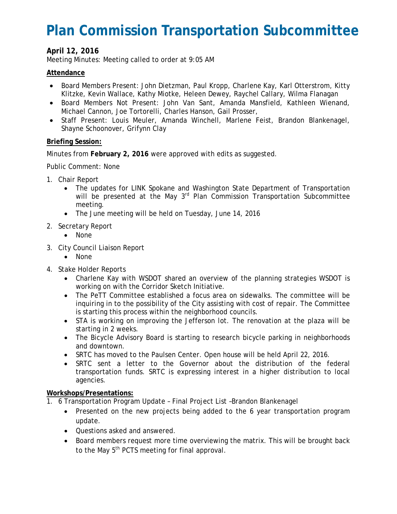# **Plan Commission Transportation Subcommittee**

## **April 12, 2016**

Meeting Minutes: Meeting called to order at 9:05 AM

### **Attendance**

- Board Members Present: John Dietzman, Paul Kropp, Charlene Kay, Karl Otterstrom, Kitty Klitzke, Kevin Wallace, Kathy Miotke, Heleen Dewey, Raychel Callary, Wilma Flanagan
- Board Members Not Present: John Van Sant, Amanda Mansfield, Kathleen Wienand, Michael Cannon, Joe Tortorelli, Charles Hanson, Gail Prosser,
- Staff Present: Louis Meuler, Amanda Winchell, Marlene Feist, Brandon Blankenagel, Shayne Schoonover, Grifynn Clay

#### **Briefing Session:**

Minutes from **February 2, 2016** were approved with edits as suggested.

Public Comment: None

- 1. Chair Report
	- The updates for LINK Spokane and Washington State Department of Transportation will be presented at the May 3<sup>rd</sup> Plan Commission Transportation Subcommittee meeting.
	- The June meeting will be held on Tuesday, June 14, 2016
- 2. Secretary Report
	- None
- 3. City Council Liaison Report
	- None
- 4. Stake Holder Reports
	- Charlene Kay with WSDOT shared an overview of the planning strategies WSDOT is working on with the Corridor Sketch Initiative.
	- The PeTT Committee established a focus area on sidewalks. The committee will be inquiring in to the possibility of the City assisting with cost of repair. The Committee is starting this process within the neighborhood councils.
	- STA is working on improving the Jefferson lot. The renovation at the plaza will be starting in 2 weeks.
	- The Bicycle Advisory Board is starting to research bicycle parking in neighborhoods and downtown.
	- SRTC has moved to the Paulsen Center. Open house will be held April 22, 2016.
	- SRTC sent a letter to the Governor about the distribution of the federal transportation funds. SRTC is expressing interest in a higher distribution to local agencies.

#### **Workshops/Presentations:**

- 1. 6 Transportation Program Update Final Project List –Brandon Blankenagel
	- Presented on the new projects being added to the 6 year transportation program update.
	- Questions asked and answered.
	- Board members request more time overviewing the matrix. This will be brought back to the May 5<sup>th</sup> PCTS meeting for final approval.